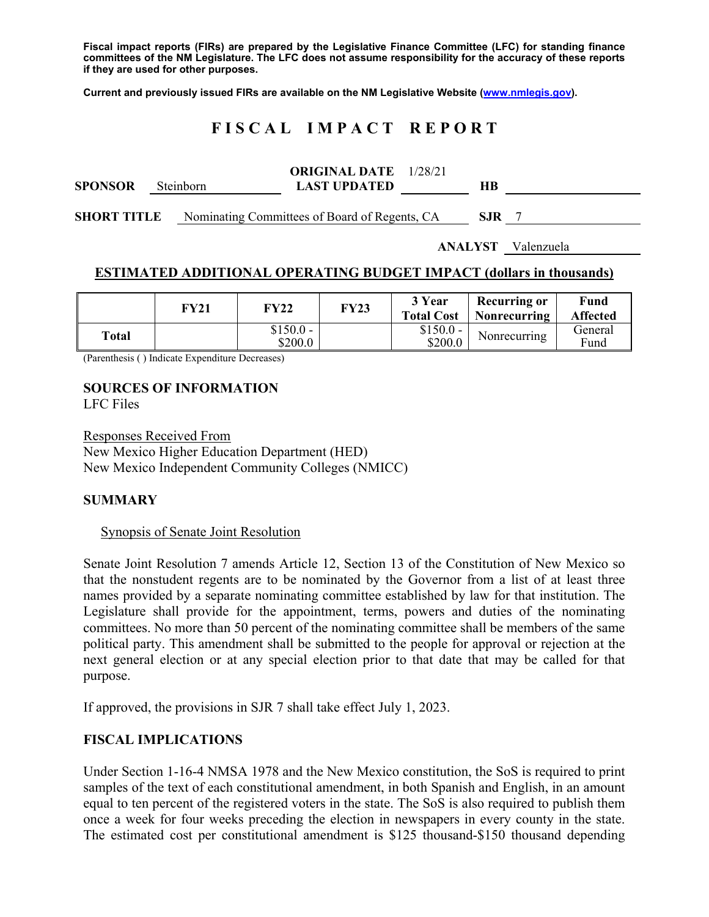**Fiscal impact reports (FIRs) are prepared by the Legislative Finance Committee (LFC) for standing finance committees of the NM Legislature. The LFC does not assume responsibility for the accuracy of these reports if they are used for other purposes.** 

**Current and previously issued FIRs are available on the NM Legislative Website (www.nmlegis.gov).** 

# **F I S C A L I M P A C T R E P O R T**

| <b>SPONSOR</b>     | <b>Steinborn</b> | <b>ORIGINAL DATE</b> 1/28/21<br><b>LAST UPDATED</b> | HВ         |  |
|--------------------|------------------|-----------------------------------------------------|------------|--|
| <b>SHORT TITLE</b> |                  | Nominating Committees of Board of Regents, CA       | <b>SJR</b> |  |

**ANALYST** Valenzuela

#### **ESTIMATED ADDITIONAL OPERATING BUDGET IMPACT (dollars in thousands)**

|       | FY21 | <b>FY22</b>           | <b>FY23</b> | 3 Year<br><b>Total Cost</b> | Recurring or<br><b>Nonrecurring</b> | Fund<br><b>Affected</b> |
|-------|------|-----------------------|-------------|-----------------------------|-------------------------------------|-------------------------|
| Total |      | $$150.0 -$<br>\$200.0 |             | $$150.0 -$<br>\$200.0       | Nonrecurring                        | General<br>Fund         |

(Parenthesis ( ) Indicate Expenditure Decreases)

# **SOURCES OF INFORMATION**

LFC Files

Responses Received From New Mexico Higher Education Department (HED) New Mexico Independent Community Colleges (NMICC)

# **SUMMARY**

#### Synopsis of Senate Joint Resolution

Senate Joint Resolution 7 amends Article 12, Section 13 of the Constitution of New Mexico so that the nonstudent regents are to be nominated by the Governor from a list of at least three names provided by a separate nominating committee established by law for that institution. The Legislature shall provide for the appointment, terms, powers and duties of the nominating committees. No more than 50 percent of the nominating committee shall be members of the same political party. This amendment shall be submitted to the people for approval or rejection at the next general election or at any special election prior to that date that may be called for that purpose.

If approved, the provisions in SJR 7 shall take effect July 1, 2023.

# **FISCAL IMPLICATIONS**

Under Section 1-16-4 NMSA 1978 and the New Mexico constitution, the SoS is required to print samples of the text of each constitutional amendment, in both Spanish and English, in an amount equal to ten percent of the registered voters in the state. The SoS is also required to publish them once a week for four weeks preceding the election in newspapers in every county in the state. The estimated cost per constitutional amendment is \$125 thousand-\$150 thousand depending